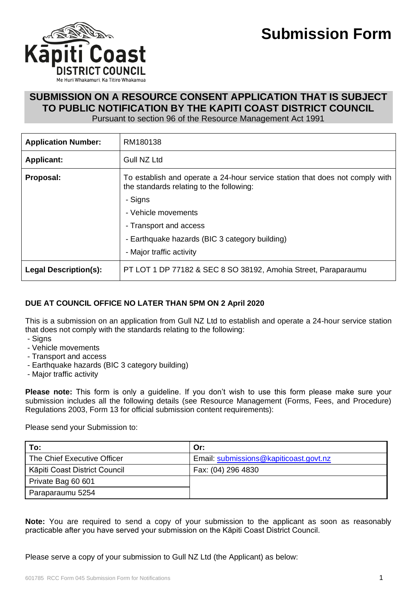

### **SUBMISSION ON A RESOURCE CONSENT APPLICATION THAT IS SUBJECT TO PUBLIC NOTIFICATION BY THE KAPITI COAST DISTRICT COUNCIL**

Pursuant to section 96 of the Resource Management Act 1991

| <b>Application Number:</b>   | RM180138                                                                                                                 |
|------------------------------|--------------------------------------------------------------------------------------------------------------------------|
| <b>Applicant:</b>            | Gull NZ Ltd                                                                                                              |
| Proposal:                    | To establish and operate a 24-hour service station that does not comply with<br>the standards relating to the following: |
|                              | - Signs                                                                                                                  |
|                              | - Vehicle movements                                                                                                      |
|                              | - Transport and access                                                                                                   |
|                              | - Earthquake hazards (BIC 3 category building)                                                                           |
|                              | - Major traffic activity                                                                                                 |
| <b>Legal Description(s):</b> | PT LOT 1 DP 77182 & SEC 8 SO 38192, Amohia Street, Paraparaumu                                                           |

### **DUE AT COUNCIL OFFICE NO LATER THAN 5PM ON 2 April 2020**

This is a submission on an application from Gull NZ Ltd to establish and operate a 24-hour service station that does not comply with the standards relating to the following:

- Signs
- Vehicle movements
- Transport and access
- Earthquake hazards (BIC 3 category building)
- Major traffic activity

**Please note:** This form is only a guideline. If you don't wish to use this form please make sure your submission includes all the following details (see Resource Management (Forms, Fees, and Procedure) Regulations 2003, Form 13 for official submission content requirements):

Please send your Submission to:

| To:                           | Or:                                    |
|-------------------------------|----------------------------------------|
| The Chief Executive Officer   | Email: submissions@kapiticoast.govt.nz |
| Kāpiti Coast District Council | Fax: (04) 296 4830                     |
| Private Bag 60 601            |                                        |
| Paraparaumu 5254              |                                        |

**Note:** You are required to send a copy of your submission to the applicant as soon as reasonably practicable after you have served your submission on the Kāpiti Coast District Council.

Please serve a copy of your submission to Gull NZ Ltd (the Applicant) as below: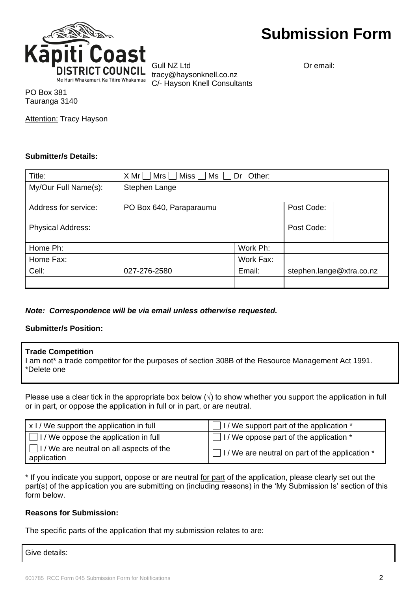

Gull NZ Ltd **Community** Or email: tracy@haysonknell.co.nz C/- Hayson Knell Consultants

PO Box 381 Tauranga 3140

Attention: Tracy Hayson

#### **Submitter/s Details:**

| Title:                   | Miss $\Box$<br>$X Mr$   Mrs  <br>Ms     Dr<br>Other: |           |                          |  |
|--------------------------|------------------------------------------------------|-----------|--------------------------|--|
| My/Our Full Name(s):     | Stephen Lange                                        |           |                          |  |
| Address for service:     | PO Box 640, Paraparaumu                              |           | Post Code:               |  |
| <b>Physical Address:</b> |                                                      |           | Post Code:               |  |
| Home Ph:                 |                                                      | Work Ph:  |                          |  |
| Home Fax:                |                                                      | Work Fax: |                          |  |
| Cell:                    | 027-276-2580                                         | Email:    | stephen.lange@xtra.co.nz |  |
|                          |                                                      |           |                          |  |

*Note: Correspondence will be via email unless otherwise requested.*

### **Submitter/s Position:**

#### **Trade Competition**

I am not\* a trade competitor for the purposes of section 308B of the Resource Management Act 1991. \*Delete one

Please use a clear tick in the appropriate box below  $(\sqrt{})$  to show whether you support the application in full or in part, or oppose the application in full or in part, or are neutral.

| x I / We support the application in full                       | I I / We support part of the application *                |  |  |
|----------------------------------------------------------------|-----------------------------------------------------------|--|--|
| $\Box$ I / We oppose the application in full                   | $\Box$ I / We oppose part of the application $*$          |  |  |
| $\Box$ I / We are neutral on all aspects of the<br>application | $\Box$ I / We are neutral on part of the application $^*$ |  |  |

\* If you indicate you support, oppose or are neutral for part of the application, please clearly set out the part(s) of the application you are submitting on (including reasons) in the 'My Submission Is' section of this form below.

### **Reasons for Submission:**

The specific parts of the application that my submission relates to are:

Give details: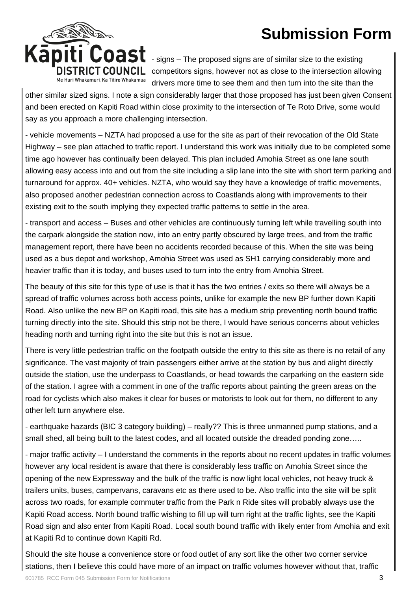

- signs – The proposed signs are of similar size to the existing  $\overline{G}$  **COUNCIL** competitors signs, however not as close to the intersection allowing drivers more time to see them and then turn into the site than the

other similar sized signs. I note a sign considerably larger that those proposed has just been given Consent and been erected on Kapiti Road within close proximity to the intersection of Te Roto Drive, some would say as you approach a more challenging intersection.

- vehicle movements – NZTA had proposed a use for the site as part of their revocation of the Old State Highway – see plan attached to traffic report. I understand this work was initially due to be completed some time ago however has continually been delayed. This plan included Amohia Street as one lane south allowing easy access into and out from the site including a slip lane into the site with short term parking and turnaround for approx. 40+ vehicles. NZTA, who would say they have a knowledge of traffic movements, also proposed another pedestrian connection across to Coastlands along with improvements to their existing exit to the south implying they expected traffic patterns to settle in the area.

- transport and access – Buses and other vehicles are continuously turning left while travelling south into the carpark alongside the station now, into an entry partly obscured by large trees, and from the traffic management report, there have been no accidents recorded because of this. When the site was being used as a bus depot and workshop, Amohia Street was used as SH1 carrying considerably more and heavier traffic than it is today, and buses used to turn into the entry from Amohia Street.

The beauty of this site for this type of use is that it has the two entries / exits so there will always be a spread of traffic volumes across both access points, unlike for example the new BP further down Kapiti Road. Also unlike the new BP on Kapiti road, this site has a medium strip preventing north bound traffic turning directly into the site. Should this strip not be there, I would have serious concerns about vehicles heading north and turning right into the site but this is not an issue.

There is very little pedestrian traffic on the footpath outside the entry to this site as there is no retail of any significance. The vast majority of train passengers either arrive at the station by bus and alight directly outside the station, use the underpass to Coastlands, or head towards the carparking on the eastern side of the station. I agree with a comment in one of the traffic reports about painting the green areas on the road for cyclists which also makes it clear for buses or motorists to look out for them, no different to any other left turn anywhere else.

- earthquake hazards (BIC 3 category building) – really?? This is three unmanned pump stations, and a small shed, all being built to the latest codes, and all located outside the dreaded ponding zone…..

- major traffic activity – I understand the comments in the reports about no recent updates in traffic volumes however any local resident is aware that there is considerably less traffic on Amohia Street since the opening of the new Expressway and the bulk of the traffic is now light local vehicles, not heavy truck & trailers units, buses, campervans, caravans etc as there used to be. Also traffic into the site will be split across two roads, for example commuter traffic from the Park n Ride sites will probably always use the Kapiti Road access. North bound traffic wishing to fill up will turn right at the traffic lights, see the Kapiti Road sign and also enter from Kapiti Road. Local south bound traffic with likely enter from Amohia and exit at Kapiti Rd to continue down Kapiti Rd.

Should the site house a convenience store or food outlet of any sort like the other two corner service stations, then I believe this could have more of an impact on traffic volumes however without that, traffic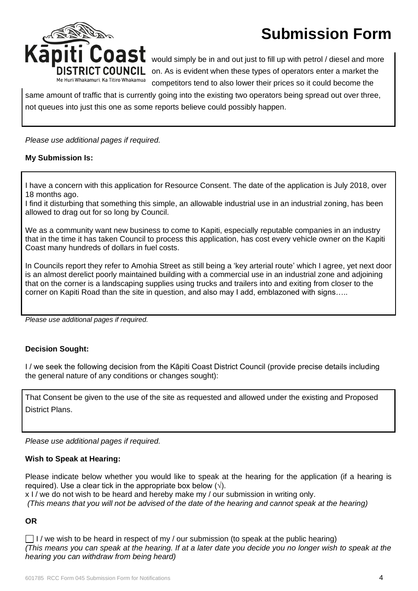

would simply be in and out just to fill up with petrol / diesel and more on. As is evident when these types of operators enter a market the competitors tend to also lower their prices so it could become the

same amount of traffic that is currently going into the existing two operators being spread out over three, not queues into just this one as some reports believe could possibly happen.

#### *Please use additional pages if required.*

#### **My Submission Is:**

I have a concern with this application for Resource Consent. The date of the application is July 2018, over 18 months ago.

I find it disturbing that something this simple, an allowable industrial use in an industrial zoning, has been allowed to drag out for so long by Council.

We as a community want new business to come to Kapiti, especially reputable companies in an industry that in the time it has taken Council to process this application, has cost every vehicle owner on the Kapiti Coast many hundreds of dollars in fuel costs.

In Councils report they refer to Amohia Street as still being a 'key arterial route' which I agree, yet next door is an almost derelict poorly maintained building with a commercial use in an industrial zone and adjoining that on the corner is a landscaping supplies using trucks and trailers into and exiting from closer to the corner on Kapiti Road than the site in question, and also may I add, emblazoned with signs…..

*Please use additional pages if required.*

### **Decision Sought:**

I / we seek the following decision from the Kāpiti Coast District Council (provide precise details including the general nature of any conditions or changes sought):

That Consent be given to the use of the site as requested and allowed under the existing and Proposed District Plans.

*Please use additional pages if required.*

#### **Wish to Speak at Hearing:**

Please indicate below whether you would like to speak at the hearing for the application (if a hearing is required). Use a clear tick in the appropriate box below  $(\sqrt{)}$ .

x I / we do not wish to be heard and hereby make my / our submission in writing only. *(This means that you will not be advised of the date of the hearing and cannot speak at the hearing)*

#### **OR**

 $\Box$  I / we wish to be heard in respect of my / our submission (to speak at the public hearing) *(This means you can speak at the hearing. If at a later date you decide you no longer wish to speak at the hearing you can withdraw from being heard)*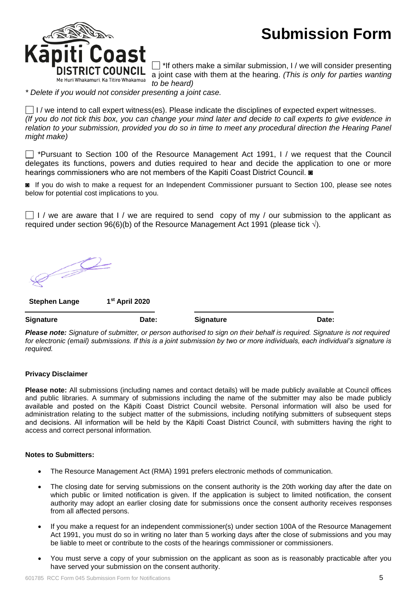

 $\Box$  \*If others make a similar submission, I / we will consider presenting a joint case with them at the hearing. *(This is only for parties wanting to be heard)* 

*\* Delete if you would not consider presenting a joint case.*

I / we intend to call expert witness(es). Please indicate the disciplines of expected expert witnesses. *(If you do not tick this box, you can change your mind later and decide to call experts to give evidence in relation to your submission, provided you do so in time to meet any procedural direction the Hearing Panel might make)*

\*Pursuant to Section 100 of the Resource Management Act 1991, I / we request that the Council delegates its functions, powers and duties required to hear and decide the application to one or more hearings commissioners who are not members of the Kapiti Coast District Council.

◙ If you do wish to make a request for an Independent Commissioner pursuant to Section 100, please see notes below for potential cost implications to you.

 $\Box$  I / we are aware that I / we are required to send copy of my / our submission to the applicant as required under section 96(6)(b) of the Resource Management Act 1991 (please tick  $\sqrt{ }$ ).

P

**Stephen Lange 1st April 2020**

**Signature Date: Signature Date:**

*Please note: Signature of submitter, or person authorised to sign on their behalf is required. Signature is not required for electronic (email) submissions. If this is a joint submission by two or more individuals, each individual's signature is required.*

#### **Privacy Disclaimer**

**Please note:** All submissions (including names and contact details) will be made publicly available at Council offices and public libraries. A summary of submissions including the name of the submitter may also be made publicly available and posted on the Kāpiti Coast District Council website. Personal information will also be used for administration relating to the subject matter of the submissions, including notifying submitters of subsequent steps and decisions. All information will be held by the Kāpiti Coast District Council, with submitters having the right to access and correct personal information.

#### **Notes to Submitters:**

- The Resource Management Act (RMA) 1991 prefers electronic methods of communication.
- The closing date for serving submissions on the consent authority is the 20th working day after the date on which public or limited notification is given. If the application is subject to limited notification, the consent authority may adopt an earlier closing date for submissions once the consent authority receives responses from all affected persons.
- If you make a request for an independent commissioner(s) under section 100A of the Resource Management Act 1991, you must do so in writing no later than 5 working days after the close of submissions and you may be liable to meet or contribute to the costs of the hearings commissioner or commissioners.
- You must serve a copy of your submission on the applicant as soon as is reasonably practicable after you have served your submission on the consent authority.